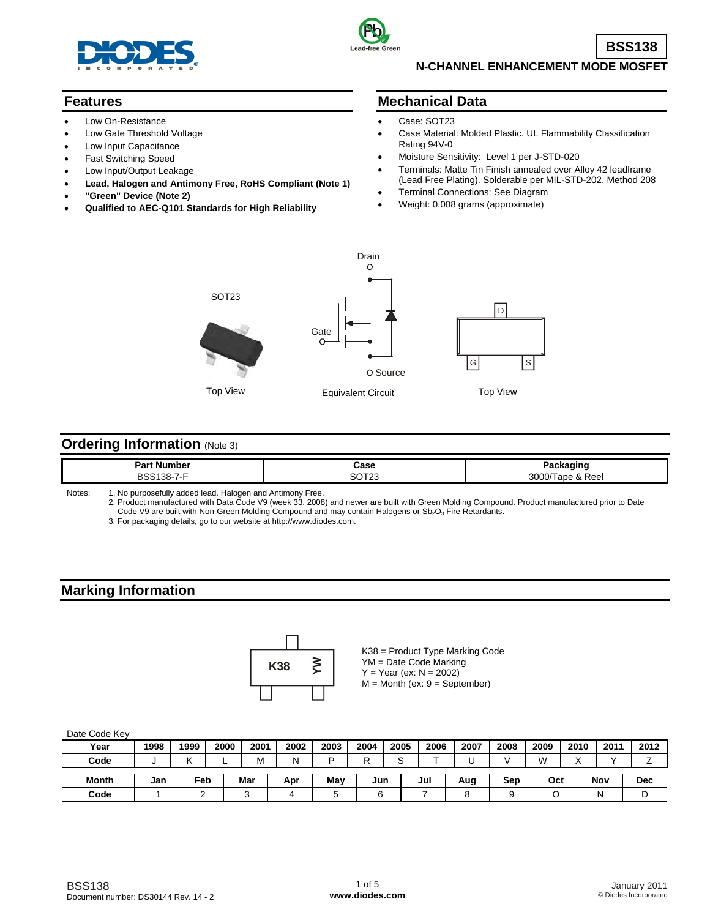



**BSS138**

## **N-CHANNEL ENHANCEMENT MODE MOSFET**

## **Features**

- Low On-Resistance
- Low Gate Threshold Voltage
- Low Input Capacitance
- Fast Switching Speed
- Low Input/Output Leakage
- **Lead, Halogen and Antimony Free, RoHS Compliant (Note 1)**
- **"Green" Device (Note 2)**
- **Qualified to AEC-Q101 Standards for High Reliability**

### **Mechanical Data**

- Case: SOT23
- Case Material: Molded Plastic. UL Flammability Classification Rating 94V-0
- Moisture Sensitivity: Level 1 per J-STD-020
- Terminals: Matte Tin Finish annealed over Alloy 42 leadframe (Lead Free Plating). Solderable per MIL-STD-202, Method 208
- Terminal Connections: See Diagram
- Weight: 0.008 grams (approximate)



## **Ordering Information (Note 3)**

| D,<br>Numb | Case                           |                      |
|------------|--------------------------------|----------------------|
| `<br>55    | 00T <sub>0</sub><br>ں<br>ں ے ا | 3000<br>RAA<br>0.100 |

Notes: 1. No purposefully added lead. Halogen and Antimony Free.

2. Product manufactured with Data Code V9 (week 33, 2008) and newer are built with Green Molding Compound. Product manufactured prior to Date Code V9 are built with Non-Green Molding Compound and may contain Halogens or Sb<sub>2</sub>O<sub>3</sub> Fire Retardants.

3. For packaging details, go to our website at [http://www.diodes.com.](http://www.diodes.com)

## **Marking Information**



K38 = Product Type Marking Code YM = Date Code Marking  $Y = Year (ex: N = 2002)$  $M =$  Month (ex:  $9 =$  September)

| Date Code Key |      |      |      |      |      |      |      |      |      |      |      |      |              |      |            |
|---------------|------|------|------|------|------|------|------|------|------|------|------|------|--------------|------|------------|
| Year          | 1998 | 1999 | 2000 | 2001 | 2002 | 2003 | 2004 | 2005 | 2006 | 2007 | 2008 | 2009 | 2010         | 2011 | 2012       |
| Code          | ື    |      |      | M    | N    | ם    | D    | ⌒    |      |      |      | W    | $\checkmark$ |      |            |
| <b>Month</b>  | Jan  | Feb  |      | Mar  | Apr  | May  | Jun  |      | Jul  | Aug  | Sep  | Oct  |              | Nov  | <b>Dec</b> |
| Code          |      |      |      |      |      | 5    |      |      |      |      |      |      |              | N    | ┕          |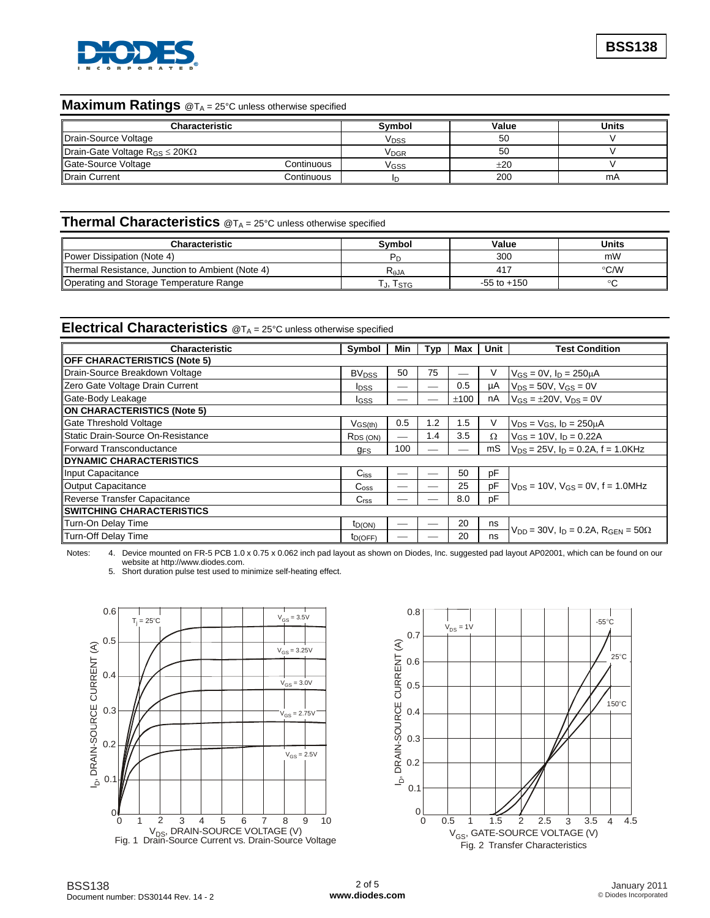

#### **Maximum Ratings** @T<sub>A</sub> = 25°C unless otherwise specified

| Characteristic                             |            | Svmbol           | Value | Units |
|--------------------------------------------|------------|------------------|-------|-------|
| Drain-Source Voltage                       |            | V <sub>DSS</sub> | 50    |       |
| Drain-Gate Voltage $R_{GS} \leq 20K\Omega$ |            | V <sub>DGR</sub> | 50    |       |
| Gate-Source Voltage                        | Continuous | V <sub>GSS</sub> | ±20   |       |
| <b>Drain Current</b>                       | Continuous |                  | 200   | mA    |

## **Thermal Characteristics** @TA = 25°C unless otherwise specified

| <b>Characteristic</b>                            | <b>Symbol</b> | Value           | Units         |
|--------------------------------------------------|---------------|-----------------|---------------|
| <b>IPower Dissipation (Note 4)</b>               |               | 300             | mW            |
| Thermal Resistance, Junction to Ambient (Note 4) | $R_{AJA}$     | 417             | $\degree$ C/W |
| Operating and Storage Temperature Range          | . j, Tstg     | $-55$ to $+150$ |               |

### **Electrical Characteristics**  $@T_A = 25°C$  unless otherwise specified

| <b>Characteristic</b>               | Symbol                  | Min | Typ | Max  | Unit | <b>Test Condition</b>                                |  |
|-------------------------------------|-------------------------|-----|-----|------|------|------------------------------------------------------|--|
| <b>OFF CHARACTERISTICS (Note 5)</b> |                         |     |     |      |      |                                                      |  |
| Drain-Source Breakdown Voltage      | <b>BV<sub>DSS</sub></b> | 50  | 75  |      | V    | $V_{GS} = 0V$ , $I_D = 250 \mu A$                    |  |
| Zero Gate Voltage Drain Current     | <b>I</b> DSS            |     |     | 0.5  | μA   | $V_{DS}$ = 50V, $V_{GS}$ = 0V                        |  |
| Gate-Body Leakage                   | <b>I</b> GSS            |     |     | ±100 | nA   | $V_{GS} = \pm 20V$ , $V_{DS} = 0V$                   |  |
| <b>ON CHARACTERISTICS (Note 5)</b>  |                         |     |     |      |      |                                                      |  |
| Gate Threshold Voltage              | $V$ <sub>GS(th)</sub>   | 0.5 | 1.2 | 1.5  | V    | $V_{DS} = V_{GS}$ , $I_D = 250 \mu A$                |  |
| Static Drain-Source On-Resistance   | R <sub>DS_(ON)</sub>    |     | 1.4 | 3.5  | Ω    | $V_{GS} = 10V$ , $I_D = 0.22A$                       |  |
| Forward Transconductance            | <b>GFS</b>              | 100 |     |      | mS   | $V_{DS}$ = 25V, $I_D$ = 0.2A, $f$ = 1.0KHz           |  |
| <b>IDYNAMIC CHARACTERISTICS</b>     |                         |     |     |      |      |                                                      |  |
| Input Capacitance                   | $C_{iss}$               |     |     | 50   | pF   |                                                      |  |
| Output Capacitance                  | $C_{\rm oss}$           |     |     | 25   | pF   | $V_{DS}$ = 10V, $V_{GS}$ = 0V, f = 1.0MHz            |  |
| Reverse Transfer Capacitance        | C <sub>rss</sub>        |     |     | 8.0  | pF   |                                                      |  |
| <b>ISWITCHING CHARACTERISTICS</b>   |                         |     |     |      |      |                                                      |  |
| Turn-On Delay Time                  | $t_{D(ON)}$             |     |     | 20   | ns   |                                                      |  |
| Turn-Off Delay Time                 | tp(OFF)                 |     |     | 20   | ns   | $V_{DD} = 30V$ , $I_D = 0.2A$ , $R_{GEN} = 50\Omega$ |  |

Notes: 4. Device mounted on FR-5 PCB 1.0 x 0.75 x 0.062 inch pad layout as shown on Diodes, Inc. suggested pad layout AP02001, which can be found on our website at [http://www.diodes.com.](http://www.diodes.com)

5. Short duration pulse test used to minimize self-heating effect.



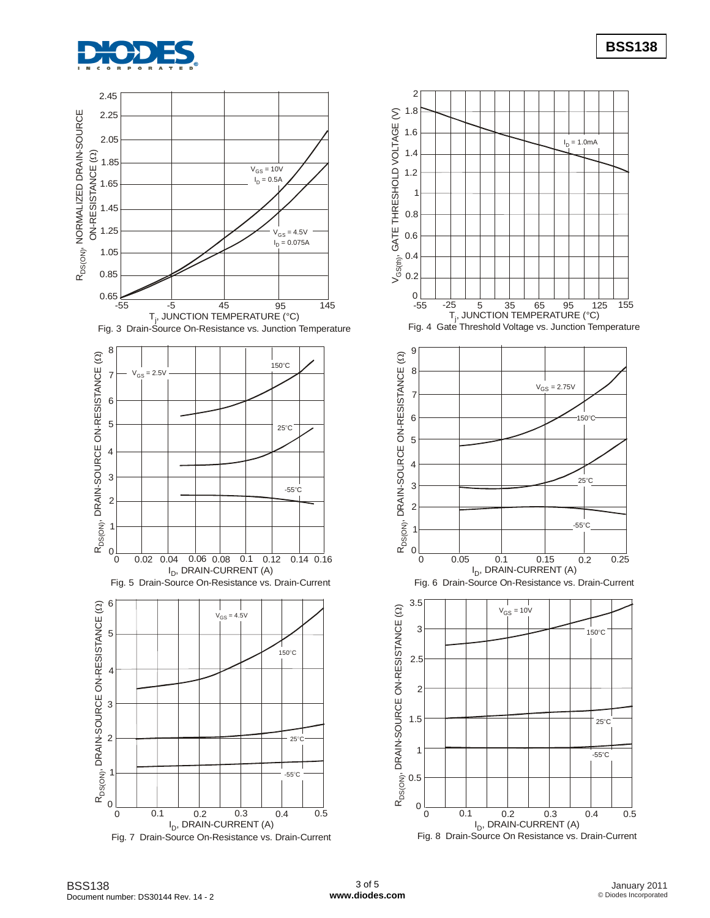



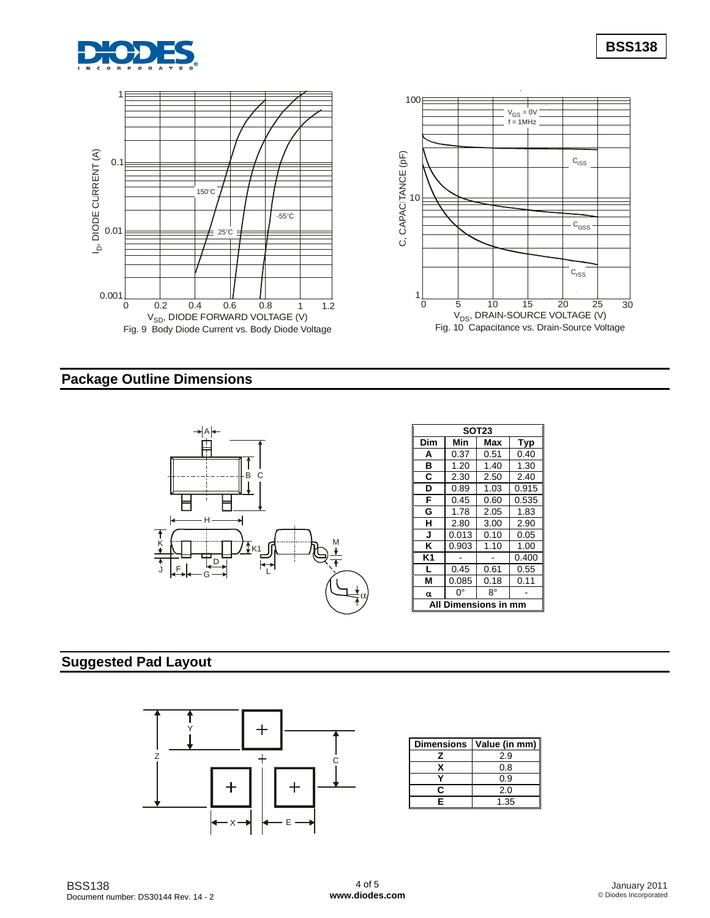



# **Package Outline Dimensions**



| SOT23               |       |      |       |  |  |  |  |  |
|---------------------|-------|------|-------|--|--|--|--|--|
| Dim                 | Min   | Max  | Typ   |  |  |  |  |  |
| Α                   | 0.37  | 0.51 | 0.40  |  |  |  |  |  |
| в                   | 1.20  | 1.40 | 1.30  |  |  |  |  |  |
| C                   | 2.30  | 2.50 | 2.40  |  |  |  |  |  |
| D                   | 0.89  | 1.03 | 0.915 |  |  |  |  |  |
| F                   | 0.45  | 0.60 | 0.535 |  |  |  |  |  |
| G                   | 1.78  | 2.05 | 1.83  |  |  |  |  |  |
| н                   | 2.80  | 3.00 | 2.90  |  |  |  |  |  |
| J                   | 0.013 | 0.10 | 0.05  |  |  |  |  |  |
| κ                   | 0.903 | 1.10 | 1.00  |  |  |  |  |  |
| K1                  |       |      | 0.400 |  |  |  |  |  |
| L                   | 0.45  | 0.61 | 0.55  |  |  |  |  |  |
| М                   | 0.085 | 0.18 | 0.11  |  |  |  |  |  |
| α                   | O°    | 8°   |       |  |  |  |  |  |
| Dimensions in<br>Al |       |      |       |  |  |  |  |  |

## **Suggested Pad Layout**



| <b>Dimensions</b> | Value (in mm) |
|-------------------|---------------|
|                   | 2.9           |
|                   | 0.8           |
|                   | 0.9           |
|                   | 2.0           |
| F                 | 1.35          |